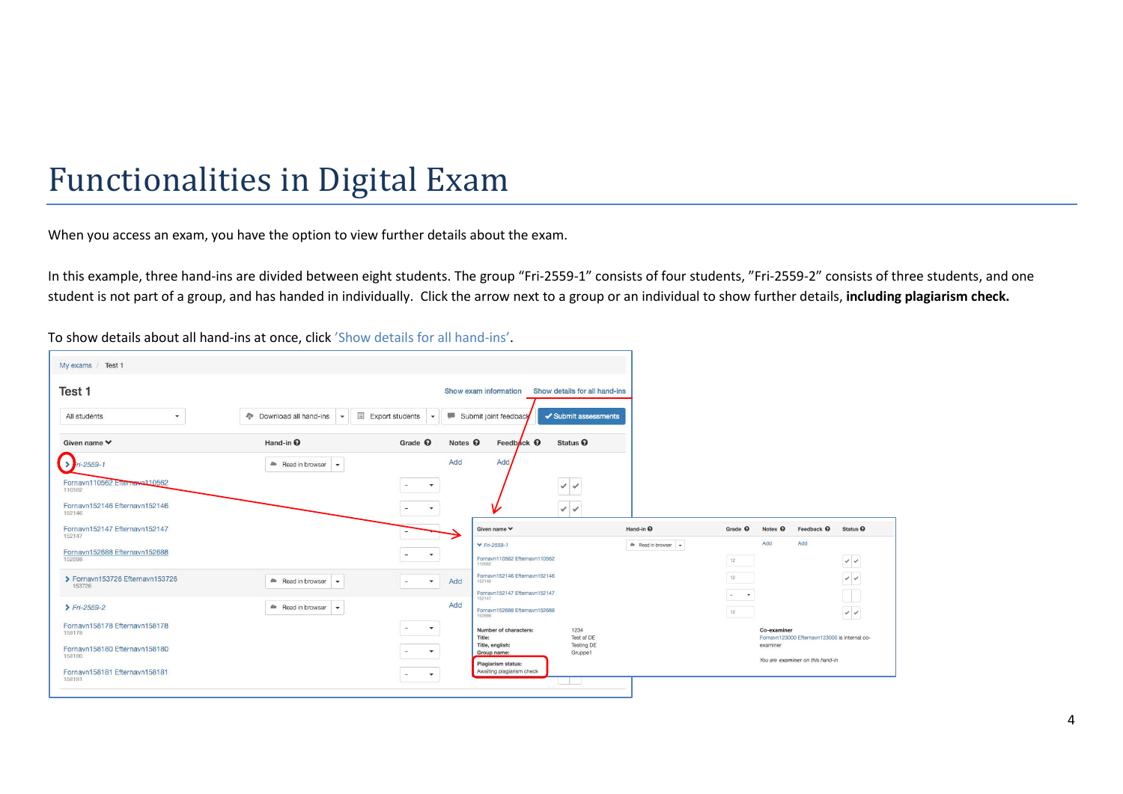# Functionalities in Digital Exam

When you access an exam, you have the option to view further details about the exam.

In this example, three hand-ins are divided between eight students. The group "Fri-2559-1" consists of four students, "Fri-2559-2" consists of three students, and one student is not part of a group, and has handed in individually. Click the arrow next to a group or an individual to show further details, **including plagiarism check.** 

To show details about all hand-ins at once, click 'Show details for all hand-ins'.

| My exams / Test 1                        |                                              |                                          |                                                      |                               |                      |                    |                                                              |                                |
|------------------------------------------|----------------------------------------------|------------------------------------------|------------------------------------------------------|-------------------------------|----------------------|--------------------|--------------------------------------------------------------|--------------------------------|
| Test 1                                   |                                              |                                          | Show exam information                                | Show details for all hand-ins |                      |                    |                                                              |                                |
| All students<br>$\overline{\phantom{a}}$ | <b>Download all hand-ins</b><br>$\mathbf{v}$ | Export students<br>$\mathcal{L}$         | Submit joint feedback                                | ✔ Submit assessments          |                      |                    |                                                              |                                |
| Given name <b>↓</b>                      | Hand-in <sup>O</sup>                         | Grade <sup>O</sup><br>Notes <sup>O</sup> | Feedback <sup>O</sup>                                | Status <sup>O</sup>           |                      |                    |                                                              |                                |
| $\frac{1}{2}$ in-2559-1                  | Read in browser<br>$\overline{\phantom{a}}$  | Add                                      | Add                                                  |                               |                      |                    |                                                              |                                |
| Fornavn110562 Enternavn110562<br>110562  |                                              | $\mathbf{v}$<br>$\sim$                   |                                                      | $\checkmark$                  |                      |                    |                                                              |                                |
| Fornavn152146 Efternavn152146<br>152146  |                                              | $\mathbf{v}$                             |                                                      | $\sqrt{2}$                    |                      |                    |                                                              |                                |
| Fornavn152147 Efternavn152147<br>152147  |                                              |                                          | Given name V                                         |                               | Hand-in <sup>O</sup> | Grade <sup>O</sup> | Notes <sup>O</sup><br>Feedback <sup>O</sup>                  | Status <sup><sup>O</sup></sup> |
| Fornavn152688 Efternavn152688<br>152688  |                                              | $\mathbf{v}$                             | $\times$ Fri-2559-1<br>Fornavn110562 Efternavn110562 |                               | Read in browser -    | 12                 | Add<br>Add                                                   | $\checkmark$                   |
| > Fornavn153726 Efternavn153726          | Read in browser v                            | Add<br>$\mathbf{v}$<br>$\sim$            | 110562<br>Fornayn152146 Efternayn152146<br>152146    |                               |                      | 12                 |                                                              | $\checkmark$                   |
| 153726                                   |                                              | Add                                      | Fornavn152147 Efternavn152147<br>152147              |                               |                      | $ -$               |                                                              | $\Box$                         |
| $Fri-2559-2$                             | Read in browser +                            |                                          | Fornavn152688 Efternavn152688<br>152688              |                               |                      | 12                 |                                                              | $\checkmark$                   |
| Fornavn158178 Efternavn158178<br>158178  |                                              | $\color{blue}\star$<br>$\sim$            | Number of characters:<br>Title:                      | 1234<br>Test af DE            |                      |                    | Co-examiner<br>Fornavn123000 Efternavn123000 is internal co- |                                |
| Fornavn158180 Efternavn158180<br>158180  |                                              | $\mathbf{v}$                             | Title, english:<br>Group name:                       | <b>Testing DE</b><br>Gruppe1  |                      |                    | examiner<br>You are examiner on this hand-in                 |                                |
| Fornavn158181 Efternavn158181<br>158181  |                                              | $\overline{\phantom{a}}$<br>$\sim$       | Plagiarism status:<br>Awaiting plagiarism check      |                               |                      |                    |                                                              |                                |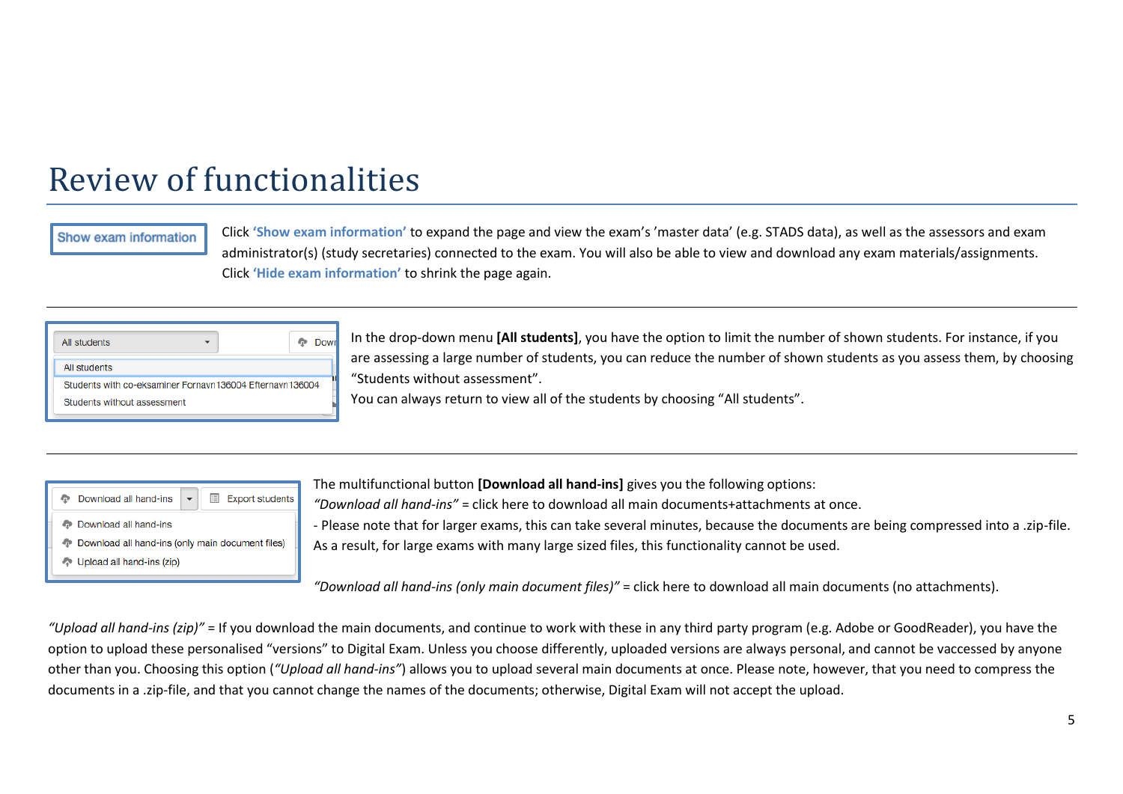# Review of functionalities

#### Show exam information

Click **'Show exam information'** to expand the page and view the exam's 'master data' (e.g. STADS data), as well as the assessors and exam administrator(s) (study secretaries) connected to the exam. You will also be able to view and download any exam materials/assignments. Click **'Hide exam information'** to shrink the page again.

| All students                                             |  |
|----------------------------------------------------------|--|
| All students                                             |  |
| Students with co-eksaminer Fornayn136004 Efternayn136004 |  |
| Students without assessment                              |  |

In the drop-down menu **[All students]**, you have the option to limit the number of shown students. For instance, if you are assessing a large number of students, you can reduce the number of shown students as you assess them, by choosing "Students without assessment".

You can always return to view all of the students by choosing "All students".

|                                                  | <b>Export students</b><br>Ħ<br>Download all hand-ins |  |  |  |
|--------------------------------------------------|------------------------------------------------------|--|--|--|
| <b>Download all hand-ins</b>                     |                                                      |  |  |  |
| Download all hand-ins (only main document files) |                                                      |  |  |  |
| Upload all hand-ins (zip)                        |                                                      |  |  |  |

The multifunctional button **[Download all hand-ins]** gives you the following options:

*"Download all hand-ins"* = click here to download all main documents+attachments at once.

- Please note that for larger exams, this can take several minutes, because the documents are being compressed into a .zip-file. As a result, for large exams with many large sized files, this functionality cannot be used.

*"Download all hand-ins (only main document files)"* = click here to download all main documents (no attachments).

"Upload all hand-ins (zip)" = If you download the main documents, and continue to work with these in any third party program (e.g. Adobe or GoodReader), you have the option to upload these personalised "versions" to Digital Exam. Unless you choose differently, uploaded versions are always personal, and cannot be vaccessed by anyone other than you. Choosing this option (*"Upload all hand-ins"*) allows you to upload several main documents at once. Please note, however, that you need to compress the documents in a .zip-file, and that you cannot change the names of the documents; otherwise, Digital Exam will not accept the upload.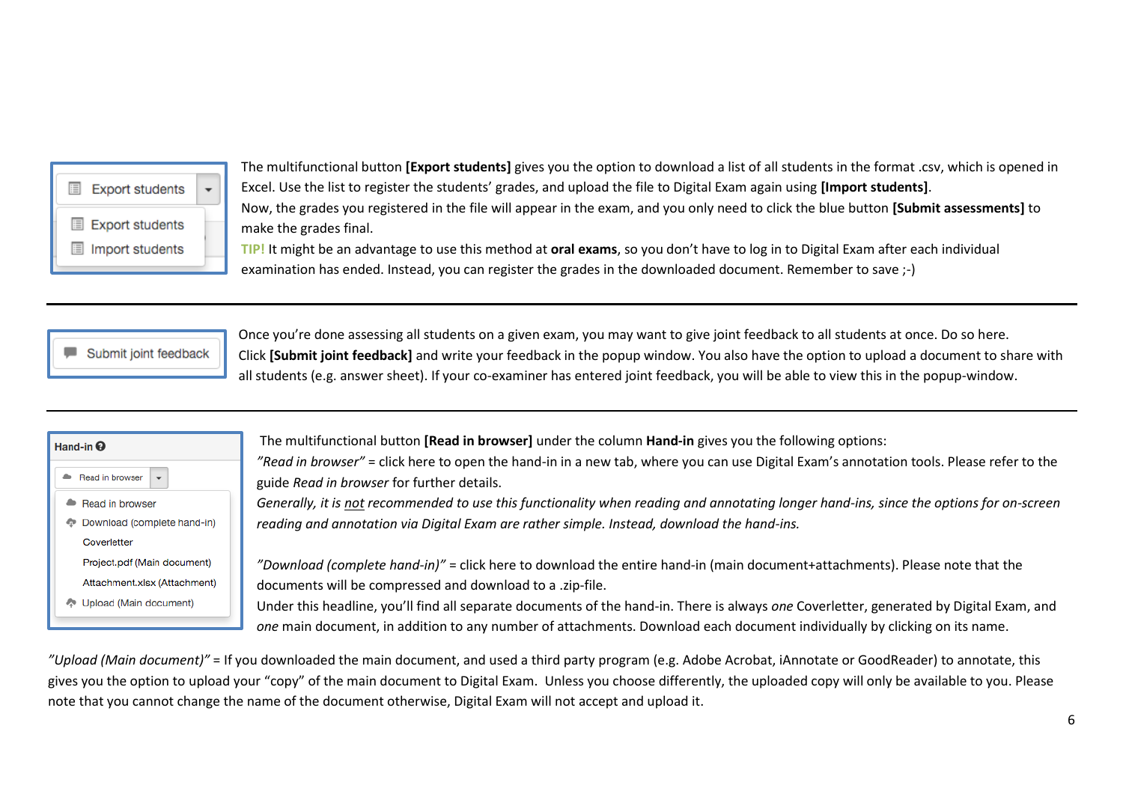| <b>Export students</b>                    |  |
|-------------------------------------------|--|
| <b>Export students</b><br>Import students |  |

The multifunctional button **[Export students]** gives you the option to download a list of all students in the format .csv, which is opened in Excel. Use the list to register the students' grades, and upload the file to Digital Exam again using **[Import students]**. Now, the grades you registered in the file will appear in the exam, and you only need to click the blue button **[Submit assessments]** to make the grades final. **TIP!** It might be an advantage to use this method at **oral exams**, so you don't have to log in to Digital Exam after each individual

Submit joint feedback

Once you're done assessing all students on a given exam, you may want to give joint feedback to all students at once. Do so here. Click **[Submit joint feedback]** and write your feedback in the popup window. You also have the option to upload a document to share with all students (e.g. answer sheet). If your co-examiner has entered joint feedback, you will be able to view this in the popup-window.

| Hand-in $\boldsymbol{\Theta}$ |  |  |
|-------------------------------|--|--|
| Read in browser               |  |  |
| Read in browser               |  |  |
| Download (complete hand-in)   |  |  |
| Coverletter                   |  |  |
| Project.pdf (Main document)   |  |  |
| Attachment.xlsx (Attachment)  |  |  |
| Upload (Main document)        |  |  |

The multifunctional button **[Read in browser]** under the column **Hand-in** gives you the following options:

examination has ended. Instead, you can register the grades in the downloaded document. Remember to save ;-)

*"Read in browser"* = click here to open the hand-in in a new tab, where you can use Digital Exam's annotation tools. Please refer to the guide *Read in browser* for further details.

*Generally, it is not recommended to use this functionality when reading and annotating longer hand-ins, since the options for on-screen reading and annotation via Digital Exam are rather simple. Instead, download the hand-ins.* 

*"Download (complete hand-in)"* = click here to download the entire hand-in (main document+attachments). Please note that the documents will be compressed and download to a .zip-file.

Under this headline, you'll find all separate documents of the hand-in. There is always *one* Coverletter, generated by Digital Exam, and *one* main document, in addition to any number of attachments. Download each document individually by clicking on its name.

*"Upload (Main document)"* = If you downloaded the main document, and used a third party program (e.g. Adobe Acrobat, iAnnotate or GoodReader) to annotate, this gives you the option to upload your "copy" of the main document to Digital Exam. Unless you choose differently, the uploaded copy will only be available to you. Please note that you cannot change the name of the document otherwise, Digital Exam will not accept and upload it.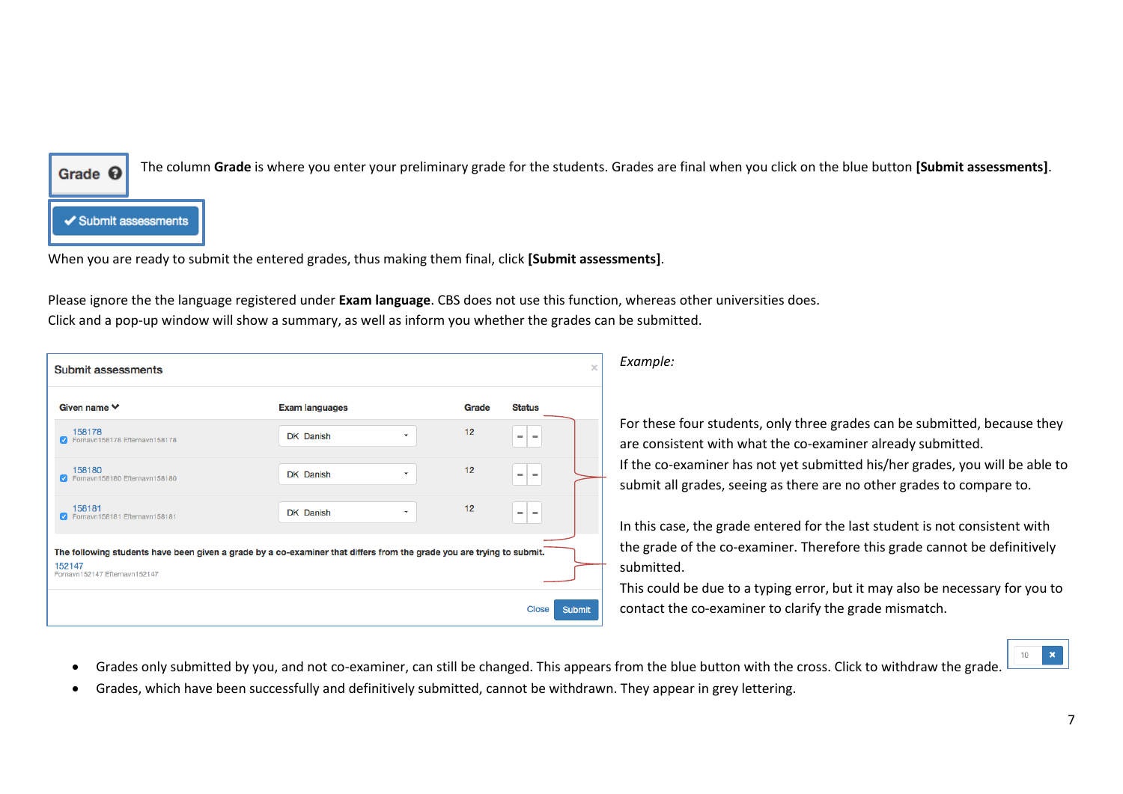

The column **Grade** is where you enter your preliminary grade for the students. Grades are final when you click on the blue button **[Submit assessments]**.

✔ Submit assessments

When you are ready to submit the entered grades, thus making them final, click **[Submit assessments]**.

Please ignore the the language registered under **Exam language**. CBS does not use this function, whereas other universities does. Click and a pop-up window will show a summary, as well as inform you whether the grades can be submitted.

| <b>Submit assessments</b>                                                                                                                                        |                       |   |       |                                      | $\times$      |
|------------------------------------------------------------------------------------------------------------------------------------------------------------------|-----------------------|---|-------|--------------------------------------|---------------|
| Given name $\vee$                                                                                                                                                | <b>Exam languages</b> |   | Grade | <b>Status</b>                        |               |
| 158178<br>Fornavn158178 Efternavn158178<br>M                                                                                                                     | DK Danish             | ÷ | 12    | $\equiv$<br>$\,$                     |               |
| 158180<br>C Fornavn158180 Efternavn158180                                                                                                                        | <b>DK</b> Danish      | ۰ | 12    | $\equiv$<br>$\equiv$                 |               |
| 158181<br>Fornavn158181 Efternavn158181<br>M                                                                                                                     | DK Danish             | ۰ | 12    | $\overline{\phantom{a}}$<br>$\equiv$ |               |
| The following students have been given a grade by a co-examiner that differs from the grade you are trying to submit.<br>152147<br>Fornavn152147 Efternavn152147 |                       |   |       |                                      |               |
|                                                                                                                                                                  |                       |   |       | Close                                | <b>Submit</b> |

*Example:*

For these four students, only three grades can be submitted, because they are consistent with what the co-examiner already submitted. If the co-examiner has not yet submitted his/her grades, you will be able to submit all grades, seeing as there are no other grades to compare to.

In this case, the grade entered for the last student is not consistent with the grade of the co-examiner. Therefore this grade cannot be definitively submitted.

This could be due to a typing error, but it may also be necessary for you to contact the co-examiner to clarify the grade mismatch.



- Grades only submitted by you, and not co-examiner, can still be changed. This appears from the blue button with the cross. Click to withdraw the grade.
- Grades, which have been successfully and definitively submitted, cannot be withdrawn. They appear in grey lettering.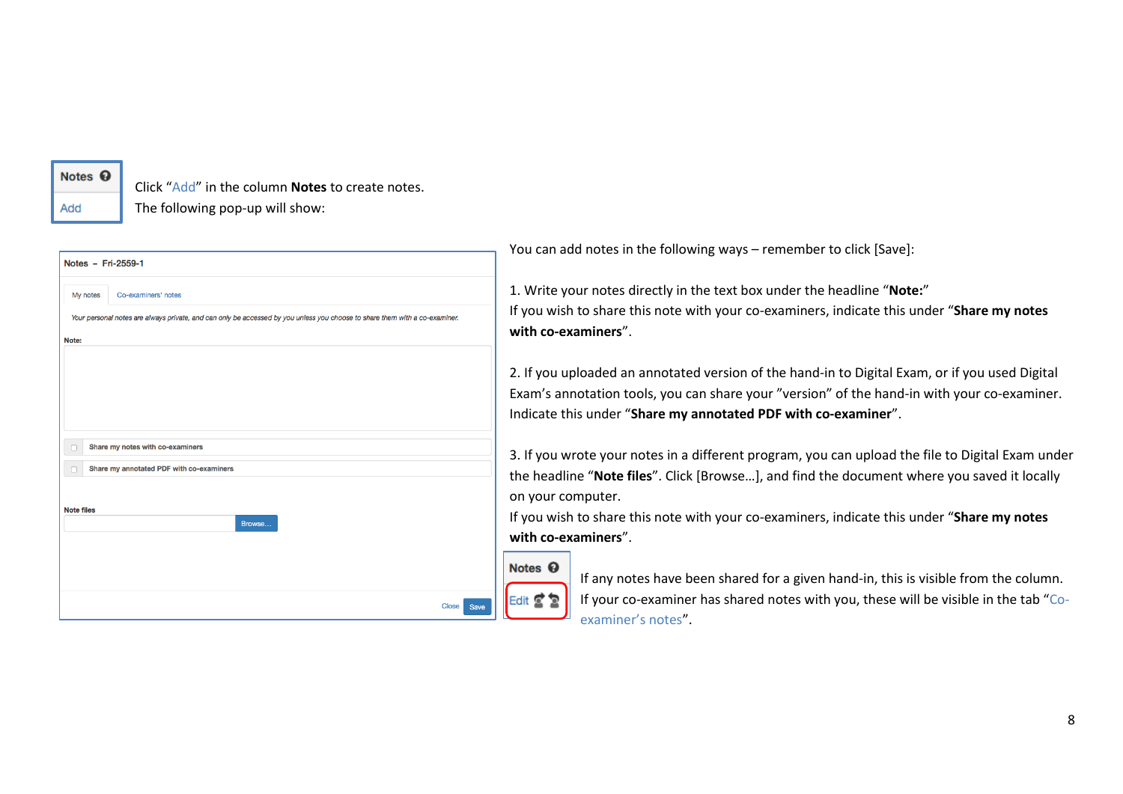## Notes <sup><sup>O</sup></sup>

Add

Click "Add" in the column **Notes** to create notes. The following pop-up will show:

| My notes          | Co-examiners' notes                                                                                                         |
|-------------------|-----------------------------------------------------------------------------------------------------------------------------|
|                   |                                                                                                                             |
|                   | Your personal notes are always private, and can only be accessed by you unless you choose to share them with a co-examiner. |
| Note:             |                                                                                                                             |
|                   |                                                                                                                             |
|                   |                                                                                                                             |
|                   |                                                                                                                             |
|                   |                                                                                                                             |
|                   |                                                                                                                             |
|                   |                                                                                                                             |
|                   |                                                                                                                             |
|                   |                                                                                                                             |
|                   | Share my notes with co-examiners                                                                                            |
|                   |                                                                                                                             |
| O                 | Share my annotated PDF with co-examiners                                                                                    |
|                   |                                                                                                                             |
| <b>Note files</b> |                                                                                                                             |
|                   | Browse                                                                                                                      |
|                   |                                                                                                                             |
|                   |                                                                                                                             |
|                   |                                                                                                                             |
|                   |                                                                                                                             |
|                   |                                                                                                                             |
|                   | <b>Close</b><br>Save                                                                                                        |

You can add notes in the following ways – remember to click [Save]:

1. Write your notes directly in the text box under the headline "**Note:**" If you wish to share this note with your co-examiners, indicate this under "**Share my notes with co-examiners**".

2. If you uploaded an annotated version of the hand-in to Digital Exam, or if you used Digital Exam's annotation tools, you can share your "version" of the hand-in with your co-examiner. Indicate this under "**Share my annotated PDF with co-examiner**".

3. If you wrote your notes in a different program, you can upload the file to Digital Exam under the headline "**Note files**". Click [Browse…], and find the document where you saved it locally on your computer.

If you wish to share this note with your co-examiners, indicate this under "**Share my notes with co-examiners**".

# Notes <sup>©</sup>

Edit  $\mathbf{\nabla}$ 

If any notes have been shared for a given hand-in, this is visible from the column. If your co-examiner has shared notes with you, these will be visible in the tab "Coexaminer's notes".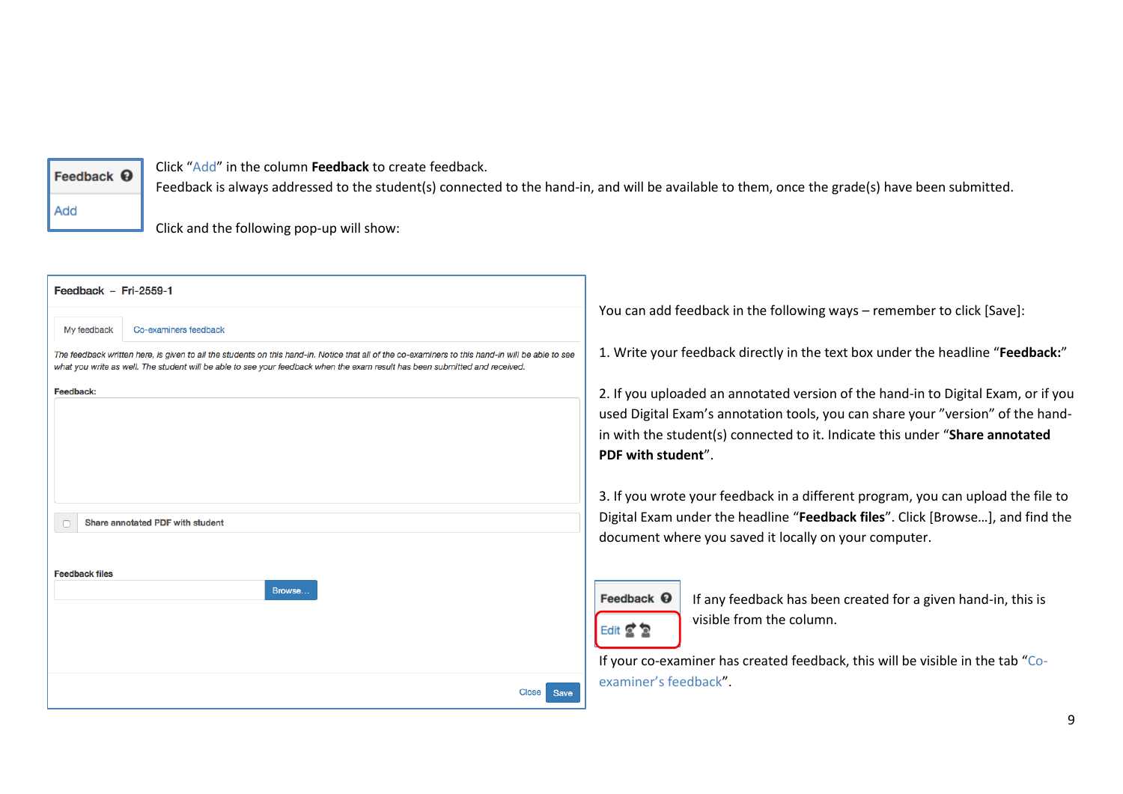### Feedback <sup>O</sup>

Click "Add" in the column **Feedback** to create feedback.

Add

Feedback is always addressed to the student(s) connected to the hand-in, and will be available to them, once the grade(s) have been submitted.

Click and the following pop-up will show:

| Feedback - Fri-2559-1                                                                                                                                                                                                                                                           |                                                                                                                                                                                                                                                                            |
|---------------------------------------------------------------------------------------------------------------------------------------------------------------------------------------------------------------------------------------------------------------------------------|----------------------------------------------------------------------------------------------------------------------------------------------------------------------------------------------------------------------------------------------------------------------------|
| My feedback<br>Co-examiners feedback                                                                                                                                                                                                                                            | You can add feedback in the following ways – remember to click [Save]:                                                                                                                                                                                                     |
| The feedback written here, is given to all the students on this hand-in. Notice that all of the co-examiners to this hand-in will be able to see<br>what you write as well. The student will be able to see your feedback when the exam result has been submitted and received. | 1. Write your feedback directly in the text box under the headline "Feedback:"                                                                                                                                                                                             |
| Feedback:                                                                                                                                                                                                                                                                       | 2. If you uploaded an annotated version of the hand-in to Digital Exam, or if you<br>used Digital Exam's annotation tools, you can share your "version" of the hand-<br>in with the student(s) connected to it. Indicate this under "Share annotated<br>PDF with student". |
| Share annotated PDF with student                                                                                                                                                                                                                                                | 3. If you wrote your feedback in a different program, you can upload the file to<br>Digital Exam under the headline "Feedback files". Click [Browse], and find the<br>document where you saved it locally on your computer.                                                |
| <b>Feedback files</b><br>Browse                                                                                                                                                                                                                                                 | Feedback $\mathbf \Theta$<br>If any feedback has been created for a given hand-in, this is<br>visible from the column.<br>Edit $\leq$ $\geq$<br>If your co-examiner has created feedback, this will be visible in the tab "Co-                                             |
| <b>Close</b><br>Save                                                                                                                                                                                                                                                            | examiner's feedback".                                                                                                                                                                                                                                                      |